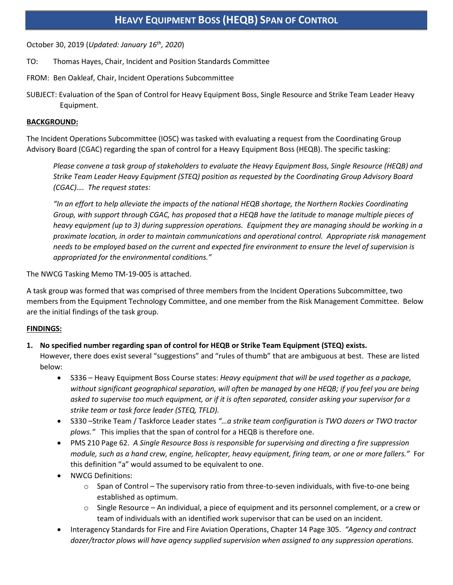October 30, 2019 (*Updated: January 16th, 2020*)

- TO: Thomas Hayes, Chair, Incident and Position Standards Committee
- FROM: Ben Oakleaf, Chair, Incident Operations Subcommittee
- SUBJECT: Evaluation of the Span of Control for Heavy Equipment Boss, Single Resource and Strike Team Leader Heavy Equipment.

# **BACKGROUND:**

The Incident Operations Subcommittee (IOSC) was tasked with evaluating a request from the Coordinating Group Advisory Board (CGAC) regarding the span of control for a Heavy Equipment Boss (HEQB). The specific tasking:

*Please convene a task group of stakeholders to evaluate the Heavy Equipment Boss, Single Resource (HEQB) and Strike Team Leader Heavy Equipment (STEQ) position as requested by the Coordinating Group Advisory Board (CGAC)…. The request states:*

*"In an effort to help alleviate the impacts of the national HEQB shortage, the Northern Rockies Coordinating Group, with support through CGAC, has proposed that a HEQB have the latitude to manage multiple pieces of heavy equipment (up to 3) during suppression operations. Equipment they are managing should be working in a proximate location, in order to maintain communications and operational control. Appropriate risk management needs to be employed based on the current and expected fire environment to ensure the level of supervision is appropriated for the environmental conditions."*

The NWCG Tasking Memo TM-19-005 is attached.

A task group was formed that was comprised of three members from the Incident Operations Subcommittee, two members from the Equipment Technology Committee, and one member from the Risk Management Committee. Below are the initial findings of the task group.

## **FINDINGS:**

## **1. No specified number regarding span of control for HEQB or Strike Team Equipment (STEQ) exists.**

However, there does exist several "suggestions" and "rules of thumb" that are ambiguous at best. These are listed below:

- S336 Heavy Equipment Boss Course states: *Heavy equipment that will be used together as a package, without significant geographical separation, will often be managed by one HEQB; if you feel you are being asked to supervise too much equipment, or if it is often separated, consider asking your supervisor for a strike team or task force leader (STEQ, TFLD).*
- S330 –Strike Team / Taskforce Leader states *"…a strike team configuration is TWO dozers or TWO tractor plows."* This implies that the span of control for a HEQB is therefore one.
- PMS 210 Page 62. *A Single Resource Boss is responsible for supervising and directing a fire suppression module, such as a hand crew, engine, helicopter, heavy equipment, firing team, or one or more fallers."* For this definition "a" would assumed to be equivalent to one.
- NWCG Definitions:
	- $\circ$  Span of Control The supervisory ratio from three-to-seven individuals, with five-to-one being established as optimum.
	- o Single Resource An individual, a piece of equipment and its personnel complement, or a crew or team of individuals with an identified work supervisor that can be used on an incident.
- Interagency Standards for Fire and Fire Aviation Operations, Chapter 14 Page 305. *"Agency and contract dozer/tractor plows will have agency supplied supervision when assigned to any suppression operations.*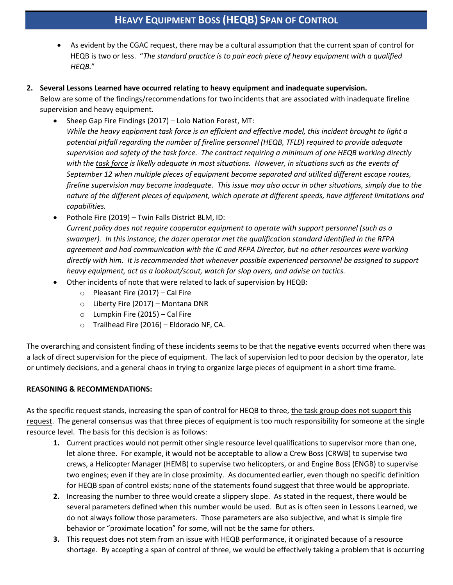As evident by the CGAC request, there may be a cultural assumption that the current span of control for HEQB is two or less. "*The standard practice is to pair each piece of heavy equipment with a qualified HEQB.*"

### **2. Several Lessons Learned have occurred relating to heavy equipment and inadequate supervision.**

Below are some of the findings/recommendations for two incidents that are associated with inadequate fireline supervision and heavy equipment.

- Sheep Gap Fire Findings (2017) Lolo Nation Forest, MT: *While the heavy eqpipment task force is an efficient and effective model, this incident brought to light a potential pitfall regarding the number of fireline personnel (HEQB, TFLD) required to provide adequate supervision and safety of the task force. The contract requiring a minimum of one HEQB working directly with the task force is likelly adequate in most situations. However, in situations such as the events of September 12 when multiple pieces of equipment become separated and utilited different escape routes, fireline supervision may become inadequate. This issue may also occur in other situations, simply due to the nature of the different pieces of equipment, which operate at different speeds, have different limitations and capabilities.*
- Pothole Fire (2019) Twin Falls District BLM, ID: *Current policy does not require cooperator equipment to operate with support personnel (such as a swamper). In this instance, the dozer operator met the qualification standard identified in the RFPA agreement and had communication with the IC and RFPA Director, but no other resources were working directly with him. It is recommended that whenever possible experienced personnel be assigned to support heavy equipment, act as a lookout/scout, watch for slop overs, and advise on tactics.*
- Other incidents of note that were related to lack of supervision by HEQB:
	- o Pleasant Fire (2017) Cal Fire
	- o Liberty Fire (2017) Montana DNR
	- o Lumpkin Fire (2015) Cal Fire
	- o Trailhead Fire (2016) Eldorado NF, CA.

The overarching and consistent finding of these incidents seems to be that the negative events occurred when there was a lack of direct supervision for the piece of equipment. The lack of supervision led to poor decision by the operator, late or untimely decisions, and a general chaos in trying to organize large pieces of equipment in a short time frame.

## **REASONING & RECOMMENDATIONS:**

As the specific request stands, increasing the span of control for HEQB to three, the task group does not support this request. The general consensus was that three pieces of equipment is too much responsibility for someone at the single resource level. The basis for this decision is as follows:

- **1.** Current practices would not permit other single resource level qualifications to supervisor more than one, let alone three. For example, it would not be acceptable to allow a Crew Boss (CRWB) to supervise two crews, a Helicopter Manager (HEMB) to supervise two helicopters, or and Engine Boss (ENGB) to supervise two engines; even if they are in close proximity. As documented earlier, even though no specific definition for HEQB span of control exists; none of the statements found suggest that three would be appropriate.
- **2.** Increasing the number to three would create a slippery slope. As stated in the request, there would be several parameters defined when this number would be used. But as is often seen in Lessons Learned, we do not always follow those parameters. Those parameters are also subjective, and what is simple fire behavior or "proximate location" for some, will not be the same for others.
- **3.** This request does not stem from an issue with HEQB performance, it originated because of a resource shortage. By accepting a span of control of three, we would be effectively taking a problem that is occurring